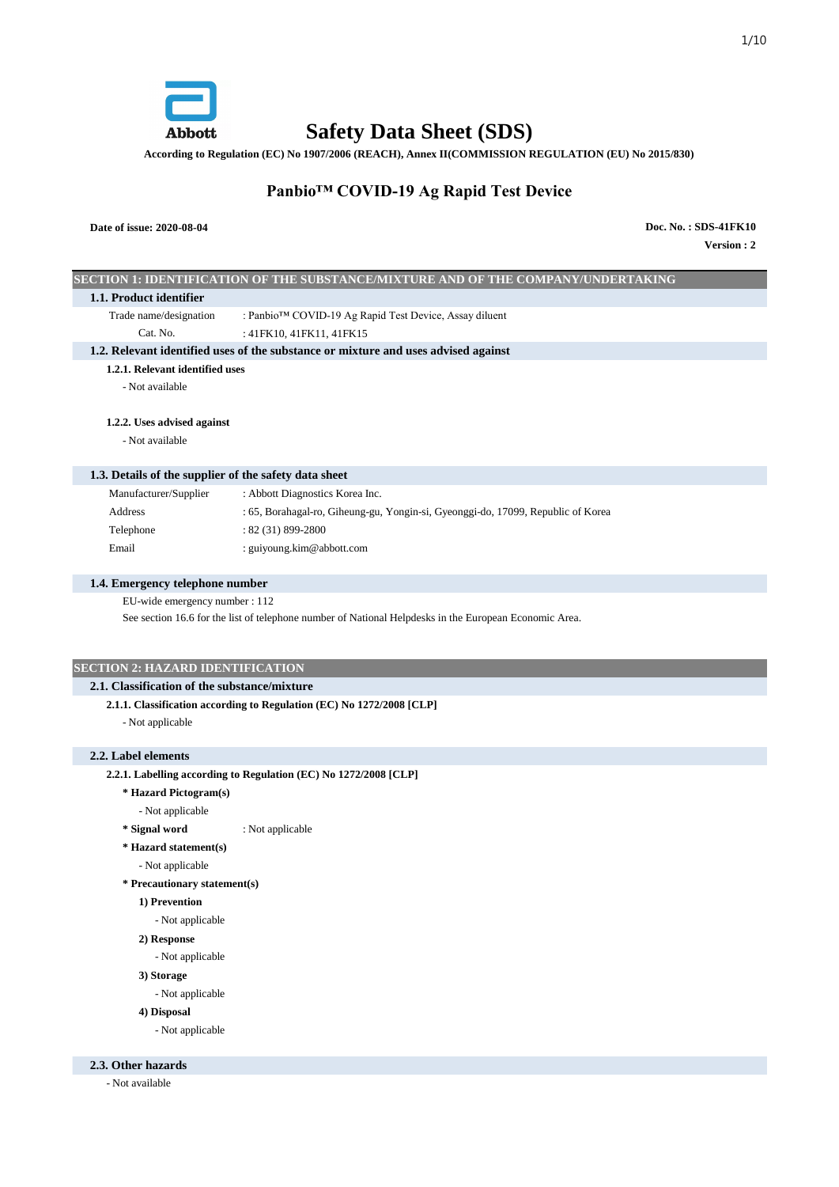

**Safety Data Sheet (SDS)**

**According to Regulation (EC) No 1907/2006 (REACH), Annex II(COMMISSION REGULATION (EU) No 2015/830)**

# **Panbio™ COVID-19 Ag Rapid Test Device**

# **Date of issue: 2020-08-04**

**Version : 2 Doc. No. : SDS-41FK10**

|                                                       | SECTION 1: IDENTIFICATION OF THE SUBSTANCE/MIXTURE AND OF THE COMPANY/UNDERTAKING                      |
|-------------------------------------------------------|--------------------------------------------------------------------------------------------------------|
| 1.1. Product identifier                               |                                                                                                        |
| Trade name/designation                                | : Panbio™ COVID-19 Ag Rapid Test Device, Assay diluent                                                 |
| Cat. No.                                              | : 41FK10, 41FK11, 41FK15                                                                               |
|                                                       | 1.2. Relevant identified uses of the substance or mixture and uses advised against                     |
| 1.2.1. Relevant identified uses                       |                                                                                                        |
| - Not available                                       |                                                                                                        |
| 1.2.2. Uses advised against                           |                                                                                                        |
| - Not available                                       |                                                                                                        |
|                                                       |                                                                                                        |
| 1.3. Details of the supplier of the safety data sheet |                                                                                                        |
| Manufacturer/Supplier                                 | : Abbott Diagnostics Korea Inc.                                                                        |
| Address                                               | : 65, Borahagal-ro, Giheung-gu, Yongin-si, Gyeonggi-do, 17099, Republic of Korea                       |
| Telephone                                             | : 82 (31) 899-2800                                                                                     |
| Email                                                 | : guiyoung.kim@abbott.com                                                                              |
| 1.4. Emergency telephone number                       |                                                                                                        |
| EU-wide emergency number : 112                        |                                                                                                        |
|                                                       | See section 16.6 for the list of telephone number of National Helpdesks in the European Economic Area. |
|                                                       |                                                                                                        |
|                                                       |                                                                                                        |
| <b>SECTION 2: HAZARD IDENTIFICATION</b>               |                                                                                                        |
| 2.1. Classification of the substance/mixture          |                                                                                                        |
|                                                       | 2.1.1. Classification according to Regulation (EC) No 1272/2008 [CLP]                                  |
| - Not applicable                                      |                                                                                                        |
| 2.2. Label elements                                   |                                                                                                        |
|                                                       | 2.2.1. Labelling according to Regulation (EC) No 1272/2008 [CLP]                                       |
| * Hazard Pictogram(s)                                 |                                                                                                        |
| - Not applicable                                      |                                                                                                        |
| * Signal word                                         | : Not applicable                                                                                       |
| * Hazard statement(s)                                 |                                                                                                        |
| - Not applicable                                      |                                                                                                        |
| * Precautionary statement(s)                          |                                                                                                        |
| 1) Prevention                                         |                                                                                                        |
| - Not applicable                                      |                                                                                                        |
| 2) Response                                           |                                                                                                        |
| - Not applicable                                      |                                                                                                        |
| 3) Storage                                            |                                                                                                        |
| - Not applicable                                      |                                                                                                        |
| 4) Disposal                                           |                                                                                                        |
| - Not applicable                                      |                                                                                                        |
|                                                       |                                                                                                        |
| 2.3. Other hazards                                    |                                                                                                        |

- Not available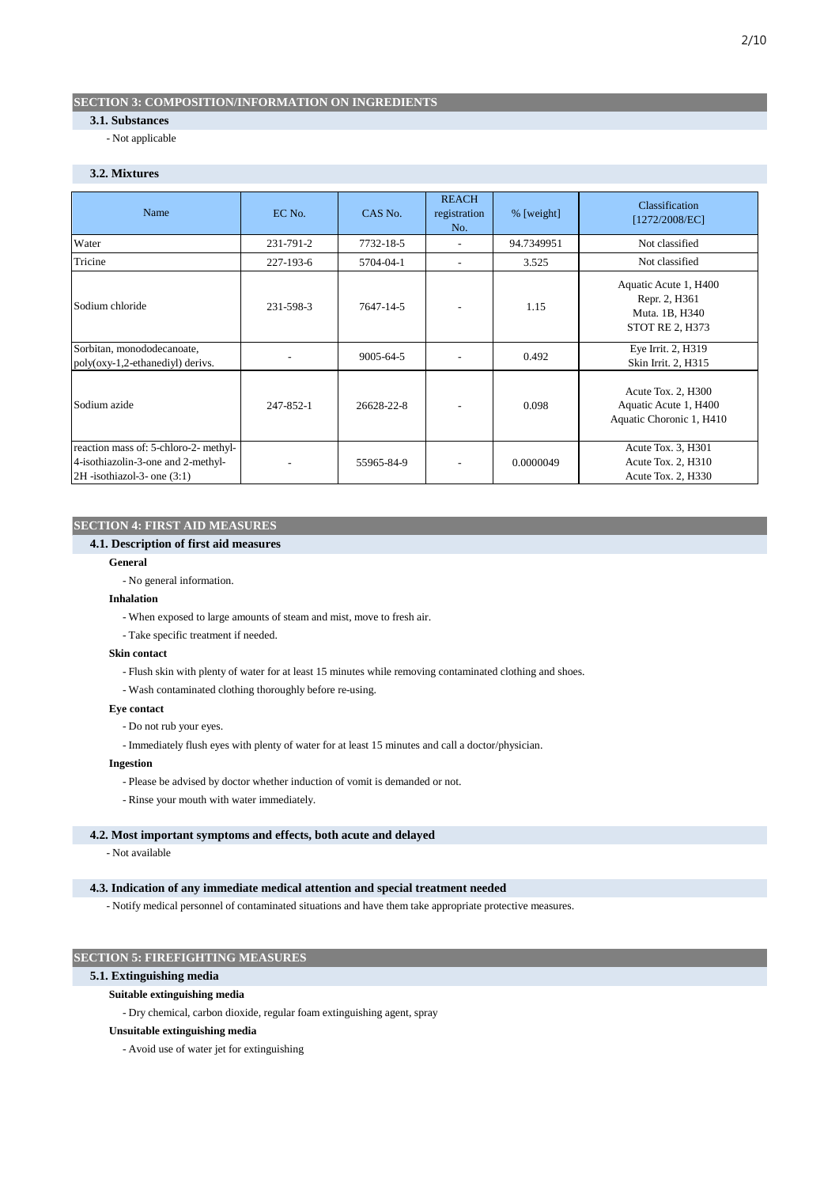# **SECTION 3: COMPOSITION/INFORMATION ON INGREDIENTS**

# **3.1. Substances**

- Not applicable

# **3.2. Mixtures**

| Name                                                                                                           | EC No.    | CAS No.    | <b>REACH</b><br>registration<br>No. | % [weight] | Classification<br>[1272/2008/EC]                                                   |
|----------------------------------------------------------------------------------------------------------------|-----------|------------|-------------------------------------|------------|------------------------------------------------------------------------------------|
| Water                                                                                                          | 231-791-2 | 7732-18-5  | ۰                                   | 94.7349951 | Not classified                                                                     |
| Tricine                                                                                                        | 227-193-6 | 5704-04-1  |                                     | 3.525      | Not classified                                                                     |
| Sodium chloride                                                                                                | 231-598-3 | 7647-14-5  |                                     | 1.15       | Aquatic Acute 1, H400<br>Repr. 2, H361<br>Muta. 1B, H340<br><b>STOT RE 2, H373</b> |
| Sorbitan, monododecanoate,<br>poly(oxy-1,2-ethanediyl) derivs.                                                 |           | 9005-64-5  |                                     | 0.492      | Eye Irrit. 2, H319<br>Skin Irrit. 2, H315                                          |
| Sodium azide                                                                                                   | 247-852-1 | 26628-22-8 |                                     | 0.098      | Acute Tox. 2, H300<br>Aquatic Acute 1, H400<br>Aquatic Choronic 1, H410            |
| reaction mass of: 5-chloro-2- methyl-<br>4-isothiazolin-3-one and 2-methyl-<br>$2H$ -isothiazol-3- one $(3:1)$ |           | 55965-84-9 |                                     | 0.0000049  | Acute Tox. 3, H301<br>Acute Tox. 2, H310<br>Acute Tox. 2, H330                     |

# **SECTION 4: FIRST AID MEASURES**

#### **4.1. Description of first aid measures**

### **General**

- No general information.

## **Inhalation**

- When exposed to large amounts of steam and mist, move to fresh air.
- Take specific treatment if needed.

### **Skin contact**

- Flush skin with plenty of water for at least 15 minutes while removing contaminated clothing and shoes.
- Wash contaminated clothing thoroughly before re-using.

### **Eye contact**

- Do not rub your eyes.
- Immediately flush eyes with plenty of water for at least 15 minutes and call a doctor/physician.

# **Ingestion**

- Please be advised by doctor whether induction of vomit is demanded or not.
- Rinse your mouth with water immediately.

### **4.2. Most important symptoms and effects, both acute and delayed**

- Not available

# **4.3. Indication of any immediate medical attention and special treatment needed**

- Notify medical personnel of contaminated situations and have them take appropriate protective measures.

# **SECTION 5: FIREFIGHTING MEASURES**

#### **5.1. Extinguishing media**

# **Suitable extinguishing media**

- Dry chemical, carbon dioxide, regular foam extinguishing agent, spray

# **Unsuitable extinguishing media**

- Avoid use of water jet for extinguishing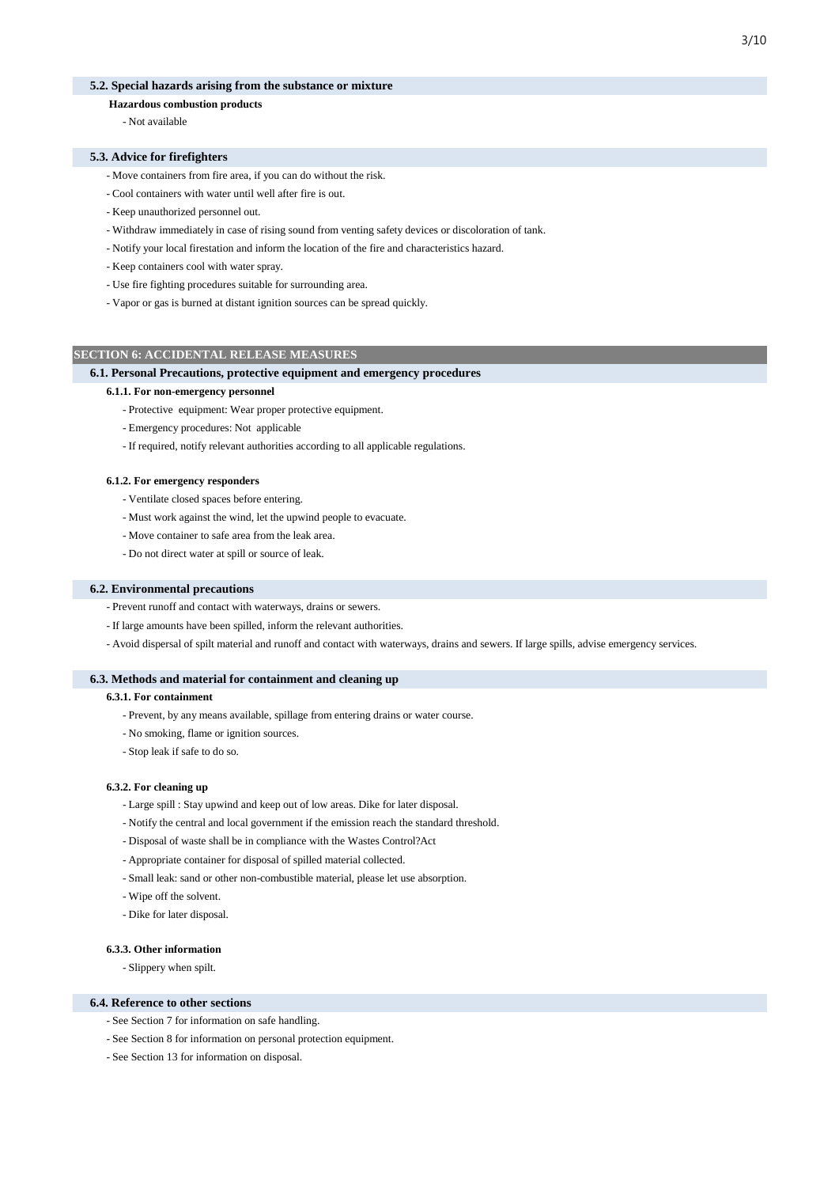## **5.2. Special hazards arising from the substance or mixture**

# **Hazardous combustion products**

- Not available

#### **5.3. Advice for firefighters**

- Move containers from fire area, if you can do without the risk.
- Cool containers with water until well after fire is out.
- Keep unauthorized personnel out.
- Withdraw immediately in case of rising sound from venting safety devices or discoloration of tank.
- Notify your local firestation and inform the location of the fire and characteristics hazard.
- Keep containers cool with water spray.
- Use fire fighting procedures suitable for surrounding area.
- Vapor or gas is burned at distant ignition sources can be spread quickly.

#### **SECTION 6: ACCIDENTAL RELEASE MEASURES**

#### **6.1. Personal Precautions, protective equipment and emergency procedures**

#### **6.1.1. For non-emergency personnel**

- Protective equipment: Wear proper protective equipment.
- Emergency procedures: Not applicable
- If required, notify relevant authorities according to all applicable regulations.

#### **6.1.2. For emergency responders**

- Ventilate closed spaces before entering.
- Must work against the wind, let the upwind people to evacuate.
- Move container to safe area from the leak area.
- Do not direct water at spill or source of leak.

#### **6.2. Environmental precautions**

- Prevent runoff and contact with waterways, drains or sewers.
- If large amounts have been spilled, inform the relevant authorities.
- Avoid dispersal of spilt material and runoff and contact with waterways, drains and sewers. If large spills, advise emergency services.

#### **6.3. Methods and material for containment and cleaning up**

#### **6.3.1. For containment**

- Prevent, by any means available, spillage from entering drains or water course.
- No smoking, flame or ignition sources.
- Stop leak if safe to do so.

#### **6.3.2. For cleaning up**

- Large spill : Stay upwind and keep out of low areas. Dike for later disposal.
- Notify the central and local government if the emission reach the standard threshold.
- Disposal of waste shall be in compliance with the Wastes Control?Act
- Appropriate container for disposal of spilled material collected.
- Small leak: sand or other non-combustible material, please let use absorption.
- Wipe off the solvent.
- Dike for later disposal.

### **6.3.3. Other information**

- Slippery when spilt.

#### **6.4. Reference to other sections**

- See Section 7 for information on safe handling.
- See Section 8 for information on personal protection equipment.
- See Section 13 for information on disposal.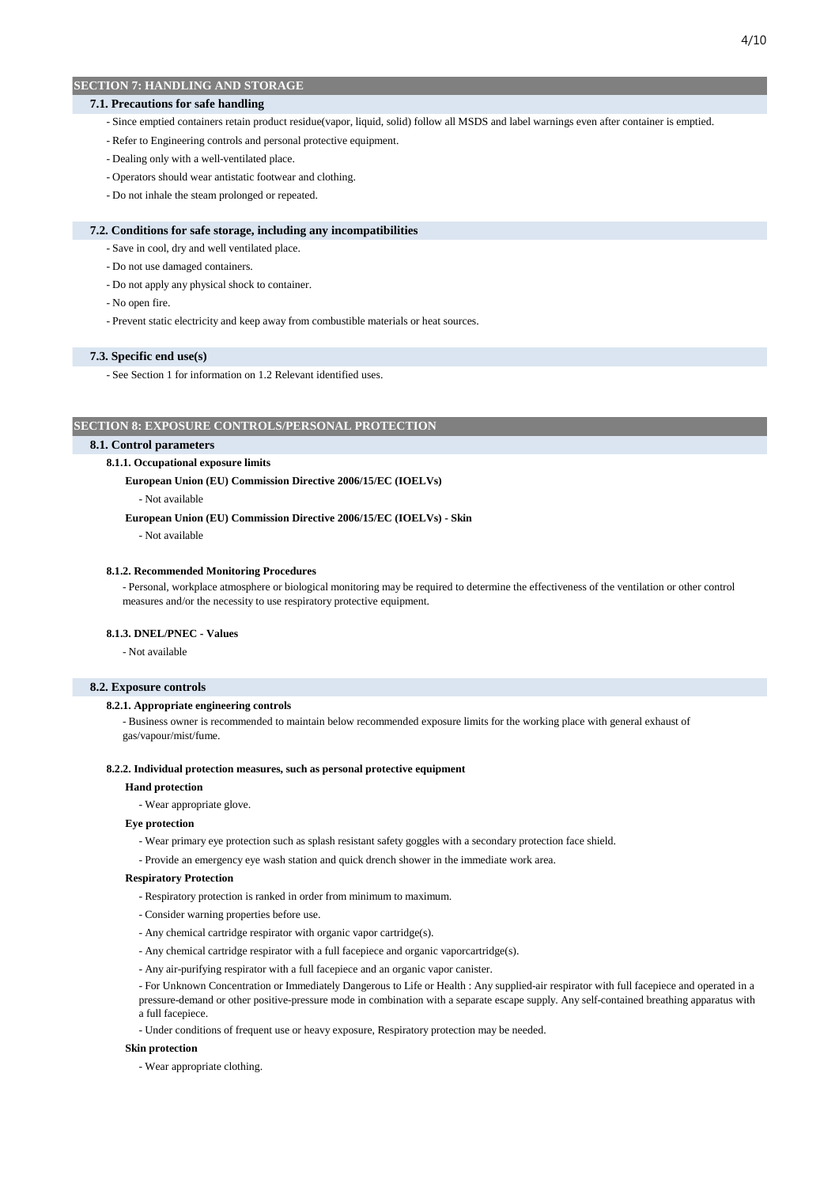### **7.1. Precautions for safe handling**

- Since emptied containers retain product residue(vapor, liquid, solid) follow all MSDS and label warnings even after container is emptied.
- Refer to Engineering controls and personal protective equipment.
- Dealing only with a well-ventilated place.
- Operators should wear antistatic footwear and clothing.
- Do not inhale the steam prolonged or repeated.

#### **7.2. Conditions for safe storage, including any incompatibilities**

- Save in cool, dry and well ventilated place.
- Do not use damaged containers.
- Do not apply any physical shock to container.
- No open fire.
- Prevent static electricity and keep away from combustible materials or heat sources.

#### **7.3. Specific end use(s)**

- See Section 1 for information on 1.2 Relevant identified uses.

## **SECTION 8: EXPOSURE CONTROLS/PERSONAL PROTECTION**

### **8.1. Control parameters**

#### **8.1.1. Occupational exposure limits**

#### **European Union (EU) Commission Directive 2006/15/EC (IOELVs)**

- Not available

 **European Union (EU) Commission Directive 2006/15/EC (IOELVs) - Skin**

- Not available

### **8.1.2. Recommended Monitoring Procedures**

- Personal, workplace atmosphere or biological monitoring may be required to determine the effectiveness of the ventilation or other control measures and/or the necessity to use respiratory protective equipment.

### **8.1.3. DNEL/PNEC - Values**

- Not available

#### **8.2. Exposure controls**

#### **8.2.1. Appropriate engineering controls**

- Business owner is recommended to maintain below recommended exposure limits for the working place with general exhaust of gas/vapour/mist/fume.

#### **8.2.2. Individual protection measures, such as personal protective equipment**

#### **Hand protection**

- Wear appropriate glove.

### **Eye protection**

- Wear primary eye protection such as splash resistant safety goggles with a secondary protection face shield.
- Provide an emergency eye wash station and quick drench shower in the immediate work area.

#### **Respiratory Protection**

- Respiratory protection is ranked in order from minimum to maximum.
- Consider warning properties before use.
- Any chemical cartridge respirator with organic vapor cartridge(s).
- Any chemical cartridge respirator with a full facepiece and organic vaporcartridge(s).
- Any air-purifying respirator with a full facepiece and an organic vapor canister.

- For Unknown Concentration or Immediately Dangerous to Life or Health : Any supplied-air respirator with full facepiece and operated in a pressure-demand or other positive-pressure mode in combination with a separate escape supply. Any self-contained breathing apparatus with a full facepiece.

- Under conditions of frequent use or heavy exposure, Respiratory protection may be needed.

### **Skin protection**

- Wear appropriate clothing.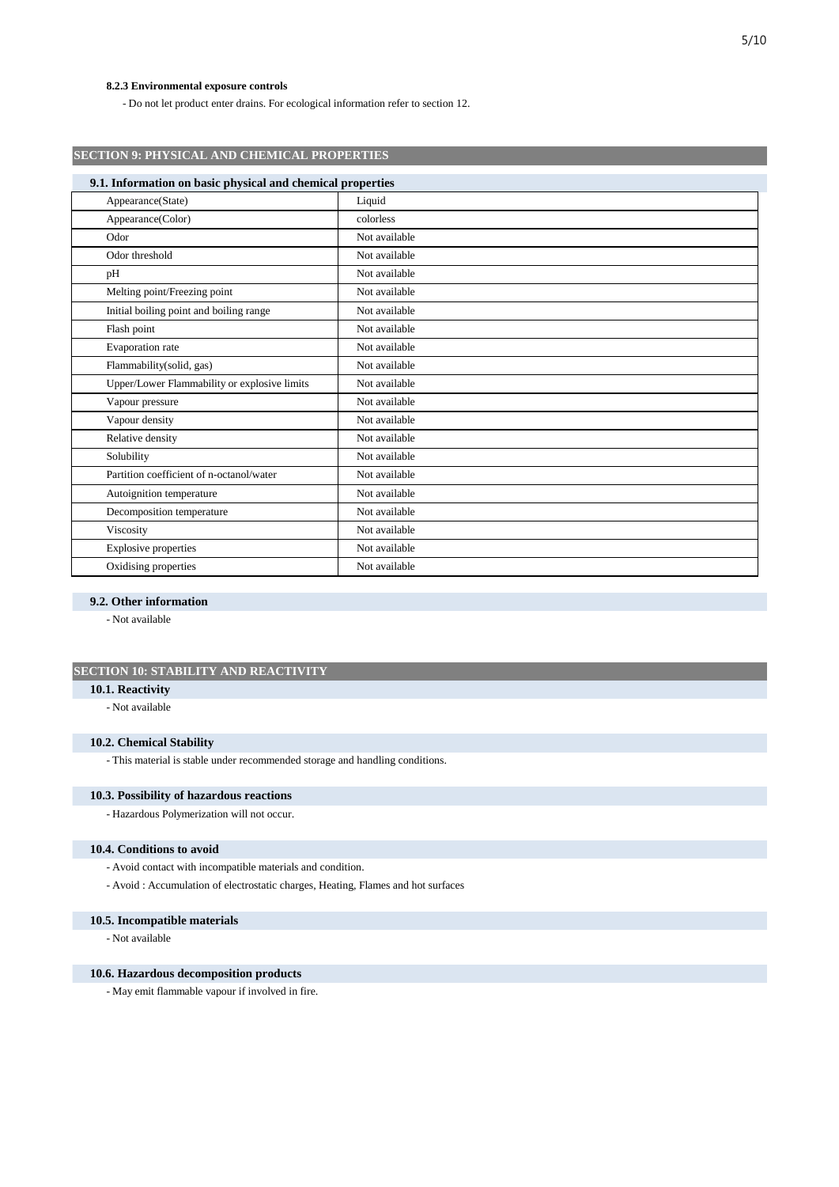## **8.2.3 Environmental exposure controls**

- Do not let product enter drains. For ecological information refer to section 12.

| <b>SECTION 9: PHYSICAL AND CHEMICAL PROPERTIES</b>         |               |  |  |  |
|------------------------------------------------------------|---------------|--|--|--|
| 9.1. Information on basic physical and chemical properties |               |  |  |  |
| Appearance(State)                                          | Liquid        |  |  |  |
| Appearance(Color)                                          | colorless     |  |  |  |
| Odor                                                       | Not available |  |  |  |
| Odor threshold                                             | Not available |  |  |  |
| pH                                                         | Not available |  |  |  |
| Melting point/Freezing point                               | Not available |  |  |  |
| Initial boiling point and boiling range                    | Not available |  |  |  |
| Flash point                                                | Not available |  |  |  |
| Evaporation rate                                           | Not available |  |  |  |
| Flammability(solid, gas)                                   | Not available |  |  |  |
| Upper/Lower Flammability or explosive limits               | Not available |  |  |  |
| Vapour pressure                                            | Not available |  |  |  |
| Vapour density                                             | Not available |  |  |  |
| Relative density                                           | Not available |  |  |  |
| Solubility                                                 | Not available |  |  |  |
| Partition coefficient of n-octanol/water                   | Not available |  |  |  |
| Autoignition temperature                                   | Not available |  |  |  |
| Decomposition temperature                                  | Not available |  |  |  |
| Viscosity                                                  | Not available |  |  |  |
| Explosive properties                                       | Not available |  |  |  |
| Oxidising properties                                       | Not available |  |  |  |

#### **9.2. Other information**

- Not available

# **SECTION 10: STABILITY AND REACTIVITY**

# **10.1. Reactivity**

- Not available

# **10.2. Chemical Stability**

- This material is stable under recommended storage and handling conditions.

# **10.3. Possibility of hazardous reactions**

- Hazardous Polymerization will not occur.

# **10.4. Conditions to avoid**

- Avoid contact with incompatible materials and condition.
- Avoid : Accumulation of electrostatic charges, Heating, Flames and hot surfaces

### **10.5. Incompatible materials**

### - Not available

### **10.6. Hazardous decomposition products**

- May emit flammable vapour if involved in fire.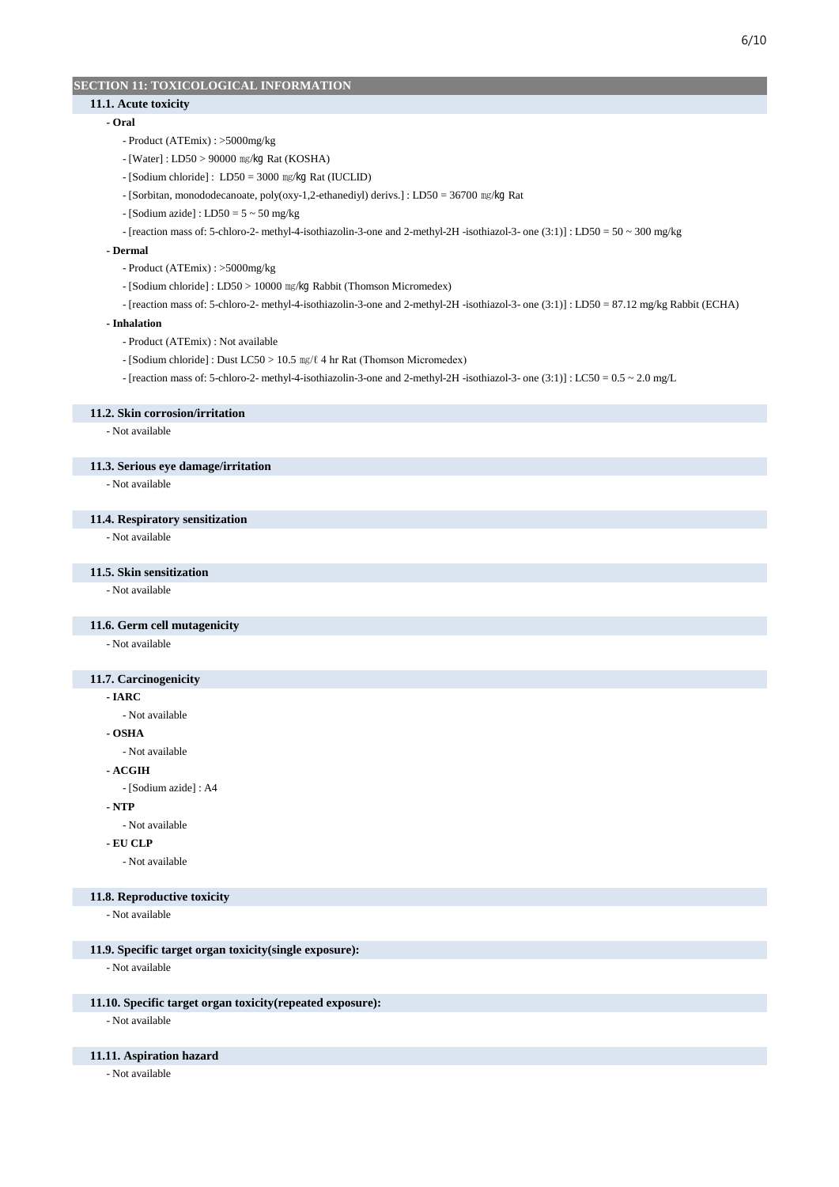# **SECTION 11: TOXICOLOGICAL INFORMATION**

# **11.1. Acute toxicity**

### **- Oral**

- Product (ATEmix) : >5000mg/kg
- [Water] : LD50 > 90000 ㎎/㎏ Rat (KOSHA)
- [Sodium chloride] : LD50 = 3000 ㎎/㎏ Rat (IUCLID)
- [Sorbitan, monododecanoate, poly(oxy-1,2-ethanediyl) derivs.] : LD50 = 36700 ㎎/㎏ Rat
- $-[Sodium\ azide] : LDS0 = 5 \sim 50 \ mg/kg$
- [reaction mass of: 5-chloro-2- methyl-4-isothiazolin-3-one and 2-methyl-2H -isothiazol-3- one (3:1)] : LD50 = 50 ~ 300 mg/kg

### **- Dermal**

- Product (ATEmix) : >5000mg/kg
- [Sodium chloride] : LD50 > 10000 ㎎/㎏ Rabbit (Thomson Micromedex)
- [reaction mass of: 5-chloro-2- methyl-4-isothiazolin-3-one and 2-methyl-2H -isothiazol-3- one (3:1)] : LD50 = 87.12 mg/kg Rabbit (ECHA)

#### **- Inhalation**

- Product (ATEmix) : Not available
- [Sodium chloride] : Dust LC50 > 10.5 ㎎/ℓ 4 hr Rat (Thomson Micromedex)
- [reaction mass of: 5-chloro-2- methyl-4-isothiazolin-3-one and 2-methyl-2H -isothiazol-3- one (3:1)] : LC50 = 0.5 ~ 2.0 mg/L

#### **11.2. Skin corrosion/irritation**

- Not available

#### **11.3. Serious eye damage/irritation**

- Not available

# **11.4. Respiratory sensitization**

- Not available

### **11.5. Skin sensitization**

- Not available

# **11.6. Germ cell mutagenicity**

- Not available

### **11.7. Carcinogenicity**

#### **- IARC**

- Not available

**- OSHA**

- Not available

**- ACGIH**

- [Sodium azide] : A4

#### **- NTP**

- Not available

### **- EU CLP**

- Not available

### **11.8. Reproductive toxicity**

- Not available

#### **11.9. Specific target organ toxicity(single exposure):**

- Not available

### **11.10. Specific target organ toxicity(repeated exposure):**

- Not available

### **11.11. Aspiration hazard**

- Not available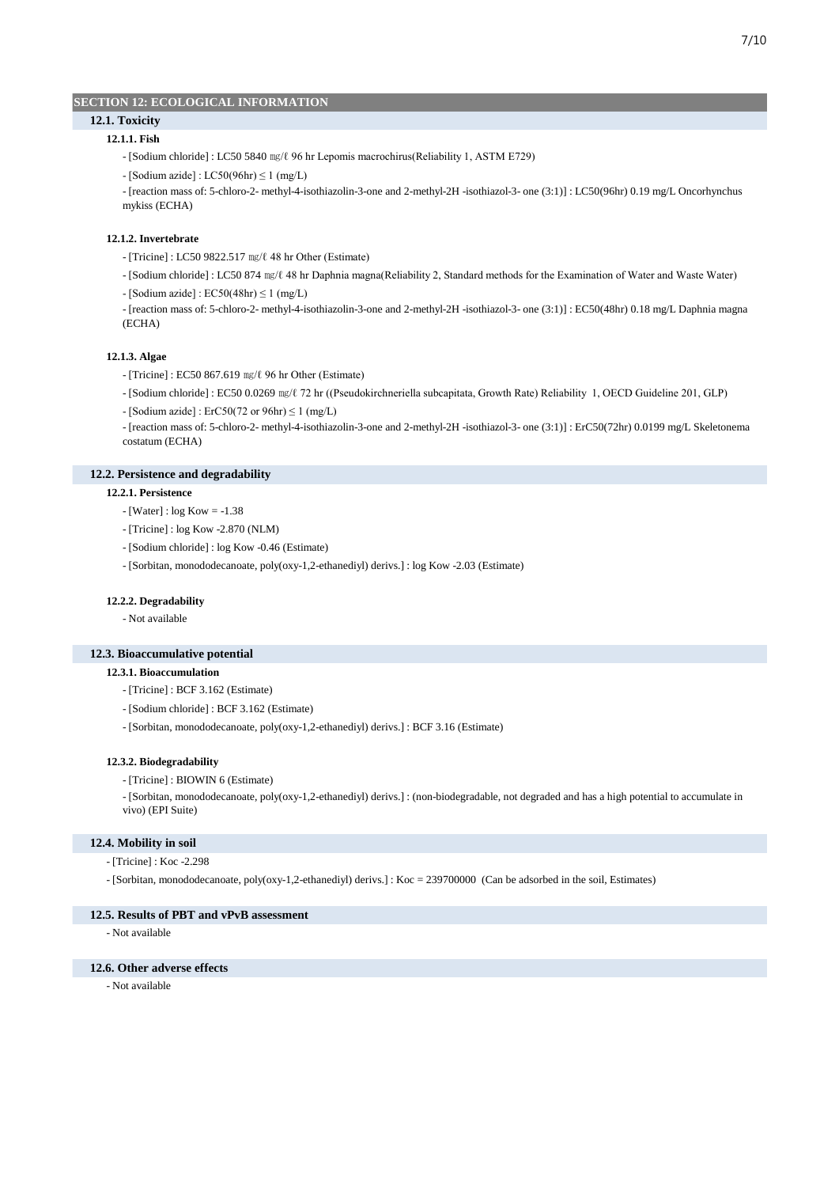## **SECTION 12: ECOLOGICAL INFORMATION**

# **12.1.1. Fish 12.1. Toxicity**

- [Sodium chloride] : LC50 5840 ㎎/ℓ 96 hr Lepomis macrochirus(Reliability 1, ASTM E729)
- $-[Sodium\ azide] : LC50(96hr) \le 1 (mg/L)$

- [reaction mass of: 5-chloro-2- methyl-4-isothiazolin-3-one and 2-methyl-2H -isothiazol-3- one (3:1)] : LC50(96hr) 0.19 mg/L Oncorhynchus mykiss (ECHA)

### **12.1.2. Invertebrate**

- [Tricine] : LC50 9822.517 ㎎/ℓ 48 hr Other (Estimate)
- [Sodium chloride] : LC50 874 ㎎/ℓ 48 hr Daphnia magna(Reliability 2, Standard methods for the Examination of Water and Waste Water)
- $-[Sodium\ azide] : ECS0(48hr) \le 1 \ (mg/L)$
- [reaction mass of: 5-chloro-2- methyl-4-isothiazolin-3-one and 2-methyl-2H -isothiazol-3- one (3:1)] : EC50(48hr) 0.18 mg/L Daphnia magna (ECHA)

#### **12.1.3. Algae**

- [Tricine] : EC50 867.619 ㎎/ℓ 96 hr Other (Estimate)
- [Sodium chloride] : EC50 0.0269 ㎎/ℓ 72 hr ((Pseudokirchneriella subcapitata, Growth Rate) Reliability 1, OECD Guideline 201, GLP)
- $-$  [Sodium azide] : ErC50(72 or 96hr)  $\leq$  1 (mg/L)

- [reaction mass of: 5-chloro-2- methyl-4-isothiazolin-3-one and 2-methyl-2H -isothiazol-3- one (3:1)] : ErC50(72hr) 0.0199 mg/L Skeletonema costatum (ECHA)

# **12.2. Persistence and degradability**

#### **12.2.1. Persistence**

- [Water] : log Kow = -1.38
- [Tricine] : log Kow -2.870 (NLM)
- [Sodium chloride] : log Kow -0.46 (Estimate)
- [Sorbitan, monododecanoate, poly(oxy-1,2-ethanediyl) derivs.] : log Kow -2.03 (Estimate)

#### **12.2.2. Degradability**

- Not available

#### **12.3. Bioaccumulative potential**

#### **12.3.1. Bioaccumulation**

- [Tricine] : BCF 3.162 (Estimate)
- [Sodium chloride] : BCF 3.162 (Estimate)
- [Sorbitan, monododecanoate, poly(oxy-1,2-ethanediyl) derivs.] : BCF 3.16 (Estimate)

#### **12.3.2. Biodegradability**

- [Tricine] : BIOWIN 6 (Estimate)
- [Sorbitan, monododecanoate, poly(oxy-1,2-ethanediyl) derivs.] : (non-biodegradable, not degraded and has a high potential to accumulate in vivo) (EPI Suite)

## **12.4. Mobility in soil**

- [Tricine] : Koc -2.298
- [Sorbitan, monododecanoate, poly(oxy-1,2-ethanediyl) derivs.] : Koc = 239700000 (Can be adsorbed in the soil, Estimates)

### **12.5. Results of PBT and vPvB assessment**

- Not available

#### **12.6. Other adverse effects**

- Not available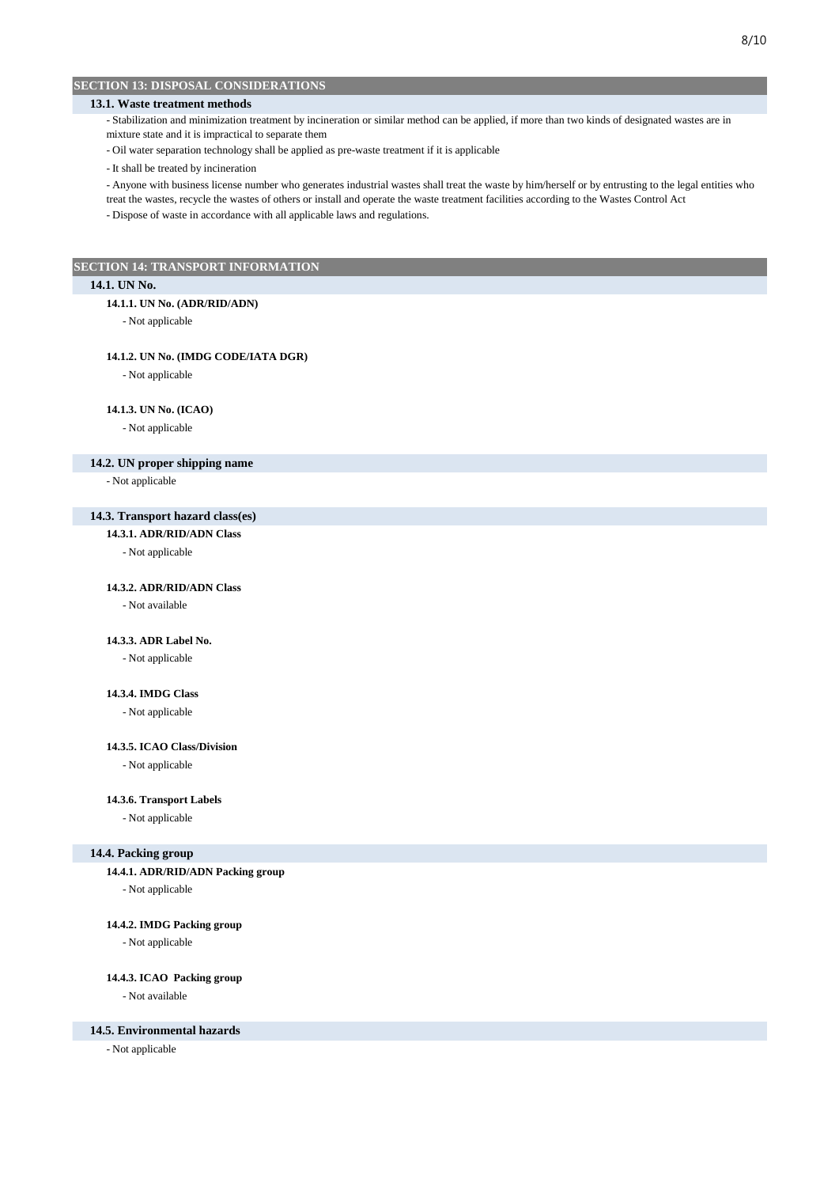# **SECTION 13: DISPOSAL CONSIDERATIONS**

# **13.1. Waste treatment methods**

- Stabilization and minimization treatment by incineration or similar method can be applied, if more than two kinds of designated wastes are in mixture state and it is impractical to separate them

- Oil water separation technology shall be applied as pre-waste treatment if it is applicable

- It shall be treated by incineration

- Anyone with business license number who generates industrial wastes shall treat the waste by him/herself or by entrusting to the legal entities who

treat the wastes, recycle the wastes of others or install and operate the waste treatment facilities according to the Wastes Control Act - Dispose of waste in accordance with all applicable laws and regulations.

**SECTION 14: TRANSPORT INFORMATION**

## **14.1. UN No.**

#### **14.1.1. UN No. (ADR/RID/ADN)**

- Not applicable

#### **14.1.2. UN No. (IMDG CODE/IATA DGR)**

- Not applicable

### **14.1.3. UN No. (ICAO)**

- Not applicable

#### **14.2. UN proper shipping name**

- Not applicable

# **14.3. Transport hazard class(es)**

### **14.3.1. ADR/RID/ADN Class**

- Not applicable

#### **14.3.2. ADR/RID/ADN Class**

- Not available

## **14.3.3. ADR Label No.**

- Not applicable

### **14.3.4. IMDG Class**

- Not applicable

### **14.3.5. ICAO Class/Division**

- Not applicable

#### **14.3.6. Transport Labels**

- Not applicable

#### **14.4. Packing group**

**14.4.1. ADR/RID/ADN Packing group**

- Not applicable

## **14.4.2. IMDG Packing group**

- Not applicable

#### **14.4.3. ICAO Packing group**

- Not available

## **14.5. Environmental hazards**

- Not applicable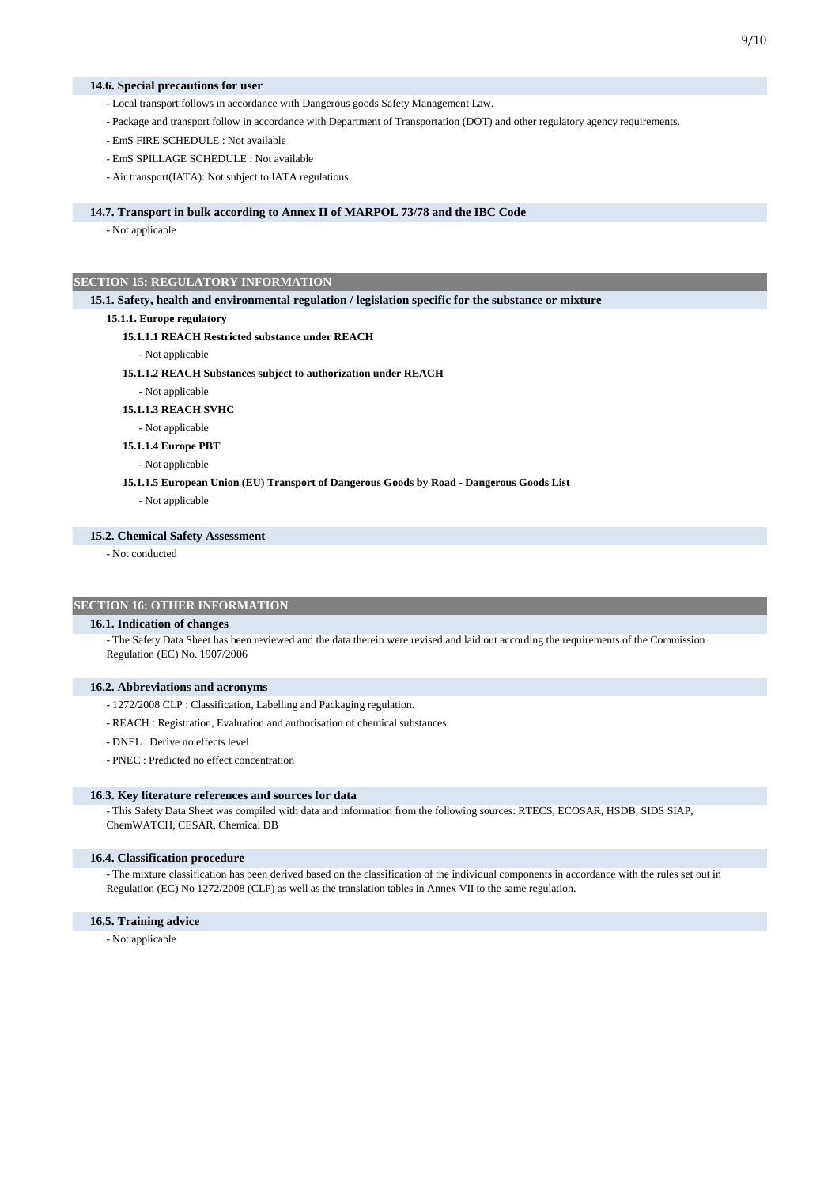#### **14.6. Special precautions for user**

- Local transport follows in accordance with Dangerous goods Safety Management Law.
- Package and transport follow in accordance with Department of Transportation (DOT) and other regulatory agency requirements.
- EmS FIRE SCHEDULE : Not available
- EmS SPILLAGE SCHEDULE : Not available
- Air transport(IATA): Not subject to IATA regulations.

### **14.7. Transport in bulk according to Annex II of MARPOL 73/78 and the IBC Code**

- Not applicable

### **SECTION 15: REGULATORY INFORMATION**

**15.1. Safety, health and environmental regulation / legislation specific for the substance or mixture**

#### **15.1.1. Europe regulatory**

#### **15.1.1.1 REACH Restricted substance under REACH**

- Not applicable
- **15.1.1.2 REACH Substances subject to authorization under REACH**
- Not applicable

### **15.1.1.3 REACH SVHC**

- Not applicable

**15.1.1.4 Europe PBT**

- Not applicable
- **15.1.1.5 European Union (EU) Transport of Dangerous Goods by Road Dangerous Goods List**
	- Not applicable

## **15.2. Chemical Safety Assessment**

- Not conducted

### **SECTION 16: OTHER INFORMATION**

#### **16.1. Indication of changes**

- The Safety Data Sheet has been reviewed and the data therein were revised and laid out according the requirements of the Commission Regulation (EC) No. 1907/2006

#### **16.2. Abbreviations and acronyms**

- 1272/2008 CLP : Classification, Labelling and Packaging regulation.
- REACH : Registration, Evaluation and authorisation of chemical substances.
- DNEL : Derive no effects level
- PNEC : Predicted no effect concentration

#### **16.3. Key literature references and sources for data**

- This Safety Data Sheet was compiled with data and information from the following sources: RTECS, ECOSAR, HSDB, SIDS SIAP, ChemWATCH, CESAR, Chemical DB

#### **16.4. Classification procedure**

- The mixture classification has been derived based on the classification of the individual components in accordance with the rules set out in Regulation (EC) No 1272/2008 (CLP) as well as the translation tables in Annex VII to the same regulation.

#### **16.5. Training advice**

- Not applicable